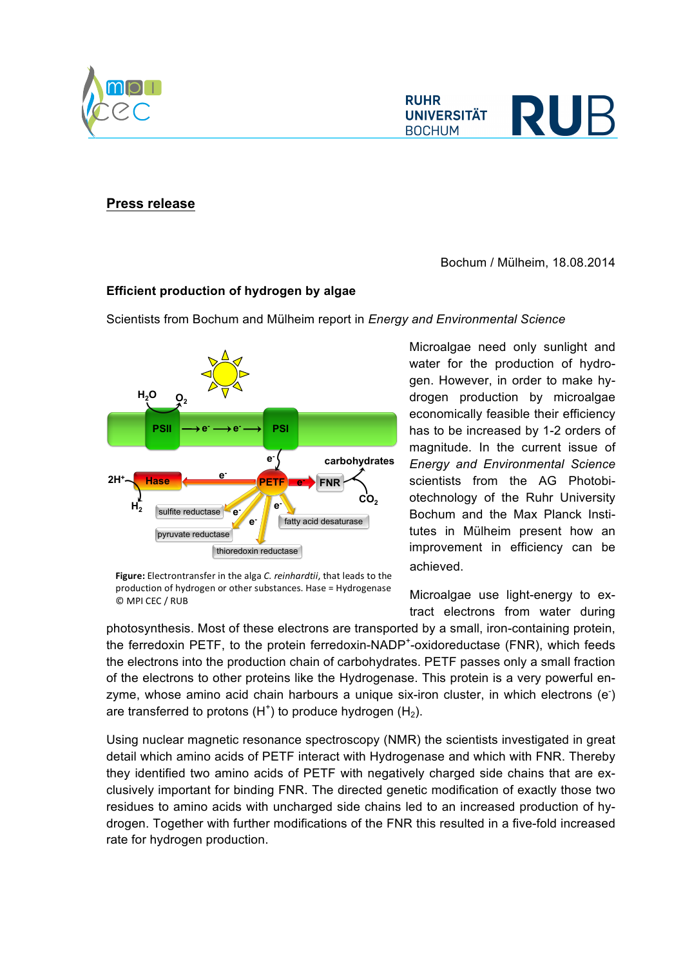**Press release**

© MPI CEC / RUB

Bochum / Mülheim, 18.08.2014

## **Efficient production of hydrogen by algae**

Scientists from Bochum and Mülheim report in *Energy and Environmental Science*

Microalgae need only sunlight and water for the production of hydrogen. However, in order to make hydrogen production by microalgae economically feasible their efficiency has to be increased by 1-2 orders of magnitude. In the current issue of *Energy and Environmental Science* scientists from the AG Photobiotechnology of the Ruhr University Bochum and the Max Planck Institutes in Mülheim present how an improvement in efficiency can be achieved.

Microalgae use light-energy to extract electrons from water during

photosynthesis. Most of these electrons are transported by a small, iron-containing protein, the ferredoxin PETF, to the protein ferredoxin-NADP<sup>+</sup>-oxidoreductase (FNR), which feeds the electrons into the production chain of carbohydrates. PETF passes only a small fraction of the electrons to other proteins like the Hydrogenase. This protein is a very powerful enzyme, whose amino acid chain harbours a unique six-iron cluster, in which electrons (e<sup>-</sup>) are transferred to protons  $(H<sup>+</sup>)$  to produce hydrogen  $(H<sub>2</sub>)$ .

Using nuclear magnetic resonance spectroscopy (NMR) the scientists investigated in great detail which amino acids of PETF interact with Hydrogenase and which with FNR. Thereby they identified two amino acids of PETF with negatively charged side chains that are exclusively important for binding FNR. The directed genetic modification of exactly those two residues to amino acids with uncharged side chains led to an increased production of hydrogen. Together with further modifications of the FNR this resulted in a five-fold increased rate for hydrogen production.



Figure: Electrontransfer in the alga *C. reinhardtii*, that leads to the production of hydrogen or other substances. Hase = Hydrogenase